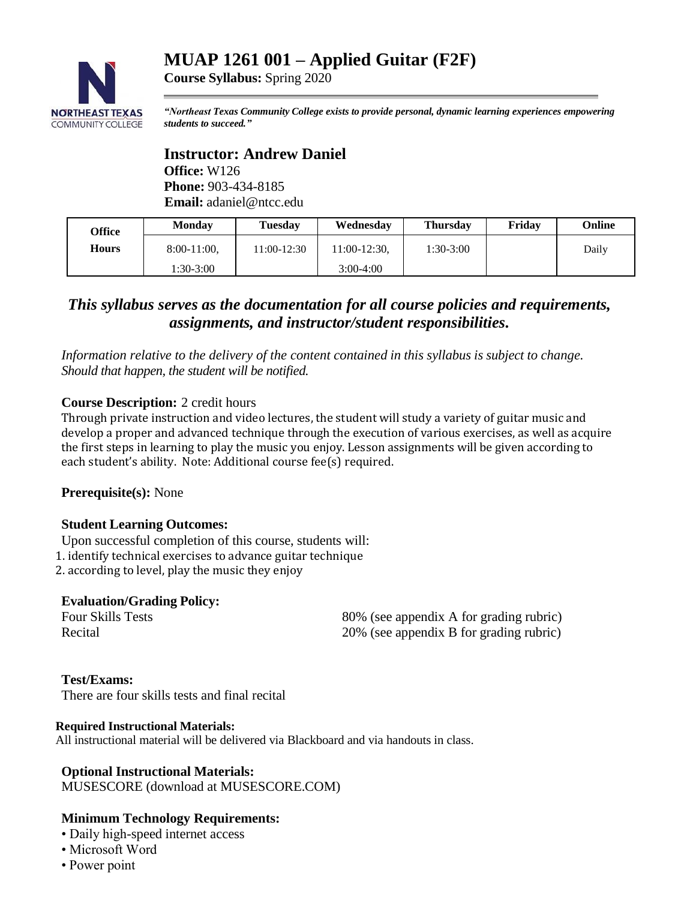# **MUAP 1261 001 – Applied Guitar (F2F)**



**Course Syllabus:** Spring 2020

*"Northeast Texas Community College exists to provide personal, dynamic learning experiences empowering students to succeed."*

### **Instructor: Andrew Daniel Office:** W126 **Phone:** 903-434-8185 **Email:** adaniel@ntcc.edu

| Office | <b>Monday</b>  | <b>Tuesday</b> | Wednesday    | Thursday    | Friday | Online |
|--------|----------------|----------------|--------------|-------------|--------|--------|
| Hours  | $8:00-11:00$ , | 11:00-12:30    | 11:00-12:30. | $1:30-3:00$ |        | Daily  |
|        | 1:30-3:00      |                | $3:00-4:00$  |             |        |        |

# *This syllabus serves as the documentation for all course policies and requirements, assignments, and instructor/student responsibilities.*

*Information relative to the delivery of the content contained in this syllabus is subject to change. Should that happen, the student will be notified.*

### **Course Description:** 2 credit hours

Through private instruction and video lectures, the student will study a variety of guitar music and develop a proper and advanced technique through the execution of various exercises, as well as acquire the first steps in learning to play the music you enjoy. Lesson assignments will be given according to each student's ability. Note: Additional course fee(s) required.

**Prerequisite(s):** None

#### **Student Learning Outcomes:**

Upon successful completion of this course, students will: 1. identify technical exercises to advance guitar technique 2. according to level, play the music they enjoy

### **Evaluation/Grading Policy:**

Four Skills Tests 80% (see appendix A for grading rubric)<br>Recital 20% (see annendix R for grading rubric)  $20\%$  (see appendix B for grading rubric)

#### **Test/Exams:**

There are four skills tests and final recital

#### **Required Instructional Materials:**

All instructional material will be delivered via Blackboard and via handouts in class.

#### **Optional Instructional Materials:**

MUSESCORE (download at MUSESCORE.COM)

### **Minimum Technology Requirements:**

- Daily high-speed internet access
- Microsoft Word
- Power point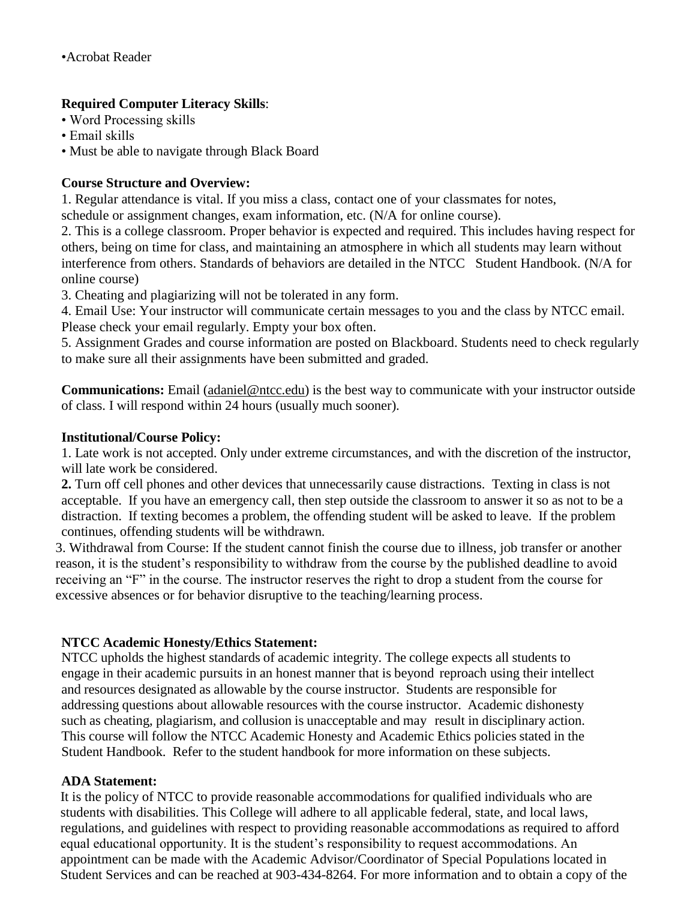### **Required Computer Literacy Skills**:

- Word Processing skills
- Email skills
- Must be able to navigate through Black Board

## **Course Structure and Overview:**

1. Regular attendance is vital. If you miss a class, contact one of your classmates for notes,

schedule or assignment changes, exam information, etc. (N/A for online course).

2. This is a college classroom. Proper behavior is expected and required. This includes having respect for others, being on time for class, and maintaining an atmosphere in which all students may learn without interference from others. Standards of behaviors are detailed in the NTCC Student Handbook. (N/A for online course)

3. Cheating and plagiarizing will not be tolerated in any form.

4. Email Use: Your instructor will communicate certain messages to you and the class by NTCC email. Please check your email regularly. Empty your box often.

5. Assignment Grades and course information are posted on Blackboard. Students need to check regularly to make sure all their assignments have been submitted and graded.

**Communications:** Email [\(adaniel@ntcc.edu\)](mailto:adaniel@ntcc.edu) is the best way to communicate with your instructor outside of class. I will respond within 24 hours (usually much sooner).

### **Institutional/Course Policy:**

1. Late work is not accepted. Only under extreme circumstances, and with the discretion of the instructor, will late work be considered.

**2.** Turn off cell phones and other devices that unnecessarily cause distractions. Texting in class is not acceptable. If you have an emergency call, then step outside the classroom to answer it so as not to be a distraction. If texting becomes a problem, the offending student will be asked to leave. If the problem continues, offending students will be withdrawn.

3. Withdrawal from Course: If the student cannot finish the course due to illness, job transfer or another reason, it is the student's responsibility to withdraw from the course by the published deadline to avoid receiving an "F" in the course. The instructor reserves the right to drop a student from the course for excessive absences or for behavior disruptive to the teaching/learning process.

### **NTCC Academic Honesty/Ethics Statement:**

NTCC upholds the highest standards of academic integrity. The college expects all students to engage in their academic pursuits in an honest manner that is beyond reproach using their intellect and resources designated as allowable by the course instructor. Students are responsible for addressing questions about allowable resources with the course instructor. Academic dishonesty such as cheating, plagiarism, and collusion is unacceptable and may result in disciplinary action. This course will follow the NTCC Academic Honesty and Academic Ethics policies stated in the Student Handbook. Refer to the student handbook for more information on these subjects.

### **ADA Statement:**

It is the policy of NTCC to provide reasonable accommodations for qualified individuals who are students with disabilities. This College will adhere to all applicable federal, state, and local laws, regulations, and guidelines with respect to providing reasonable accommodations as required to afford equal educational opportunity. It is the student's responsibility to request accommodations. An appointment can be made with the Academic Advisor/Coordinator of Special Populations located in Student Services and can be reached at 903-434-8264. For more information and to obtain a copy of the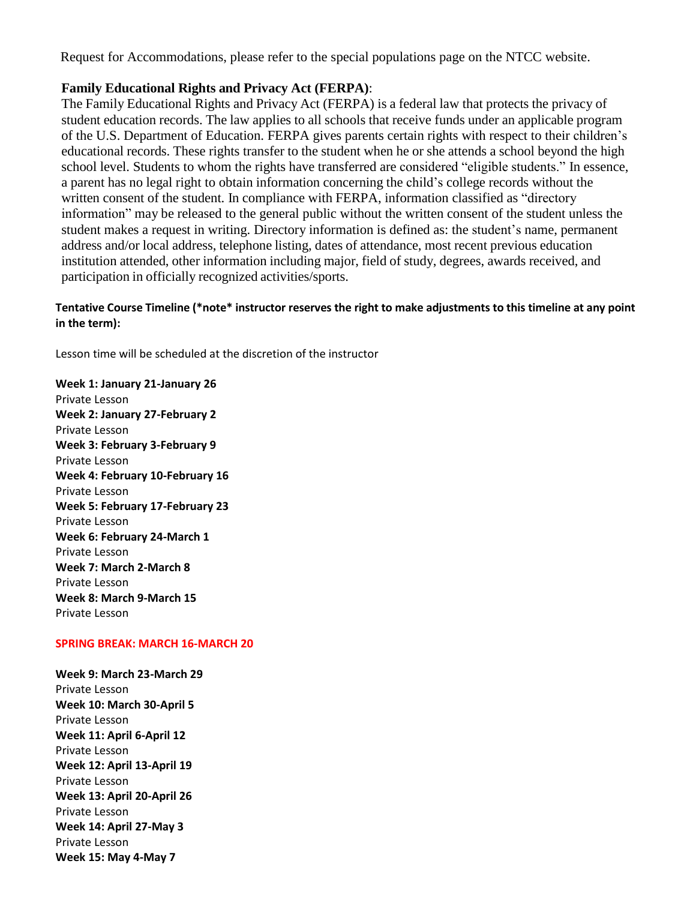Request for Accommodations, please refer to the special populations page on the NTCC websit[e.](http://www.ntcc.edu/index.php?module=Pagesetter&func=viewpub&tid=111&pid=1) 

### **Family Educational Rights and Privacy Act (FERPA)**:

The Family Educational Rights and Privacy Act (FERPA) is a federal law that protects the privacy of student education records. The law applies to all schools that receive funds under an applicable program of the U.S. Department of Education. FERPA gives parents certain rights with respect to their children's educational records. These rights transfer to the student when he or she attends a school beyond the high school level. Students to whom the rights have transferred are considered "eligible students." In essence, a parent has no legal right to obtain information concerning the child's college records without the written consent of the student. In compliance with FERPA, information classified as "directory information" may be released to the general public without the written consent of the student unless the student makes a request in writing. Directory information is defined as: the student's name, permanent address and/or local address, telephone listing, dates of attendance, most recent previous education institution attended, other information including major, field of study, degrees, awards received, and participation in officially recognized activities/sports.

### **Tentative Course Timeline (\*note\* instructor reserves the right to make adjustments to this timeline at any point in the term):**

Lesson time will be scheduled at the discretion of the instructor

**Week 1: January 21-January 26** Private Lesson **Week 2: January 27-February 2** Private Lesson **Week 3: February 3-February 9** Private Lesson **Week 4: February 10-February 16** Private Lesson **Week 5: February 17-February 23** Private Lesson **Week 6: February 24-March 1** Private Lesson **Week 7: March 2-March 8** Private Lesson **Week 8: March 9-March 15** Private Lesson

#### **SPRING BREAK: MARCH 16-MARCH 20**

**Week 9: March 23-March 29** Private Lesson **Week 10: March 30-April 5** Private Lesson **Week 11: April 6-April 12** Private Lesson **Week 12: April 13-April 19** Private Lesson **Week 13: April 20-April 26** Private Lesson **Week 14: April 27-May 3** Private Lesson **Week 15: May 4-May 7**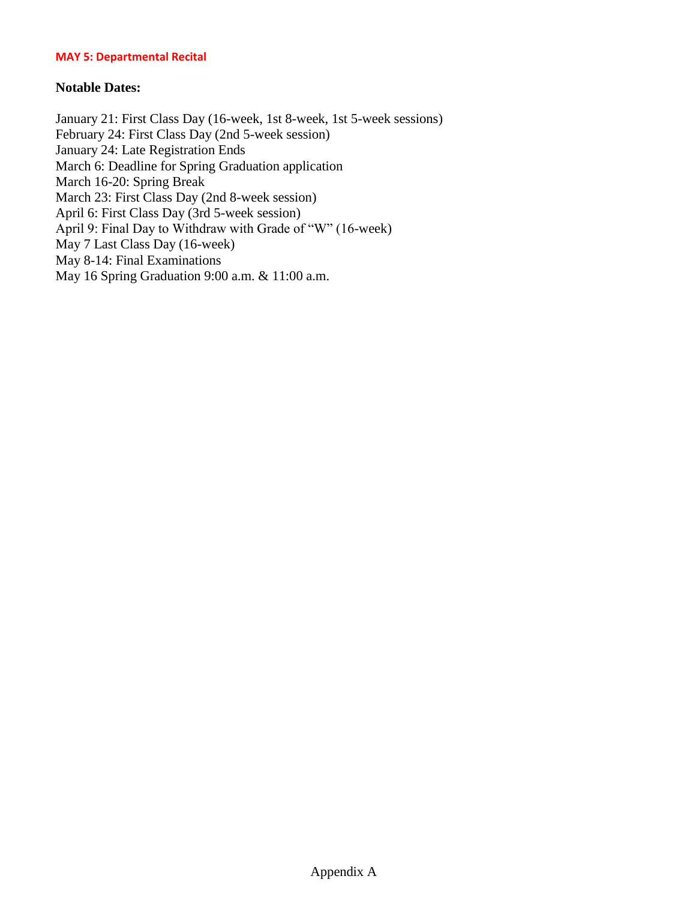#### **MAY 5: Departmental Recital**

### **Notable Dates:**

January 21: First Class Day (16-week, 1st 8-week, 1st 5-week sessions) February 24: First Class Day (2nd 5-week session) January 24: Late Registration Ends March 6: Deadline for Spring Graduation application March 16-20: Spring Break March 23: First Class Day (2nd 8-week session) April 6: First Class Day (3rd 5-week session) April 9: Final Day to Withdraw with Grade of "W" (16-week) May 7 Last Class Day (16-week) May 8-14: Final Examinations May 16 Spring Graduation 9:00 a.m. & 11:00 a.m.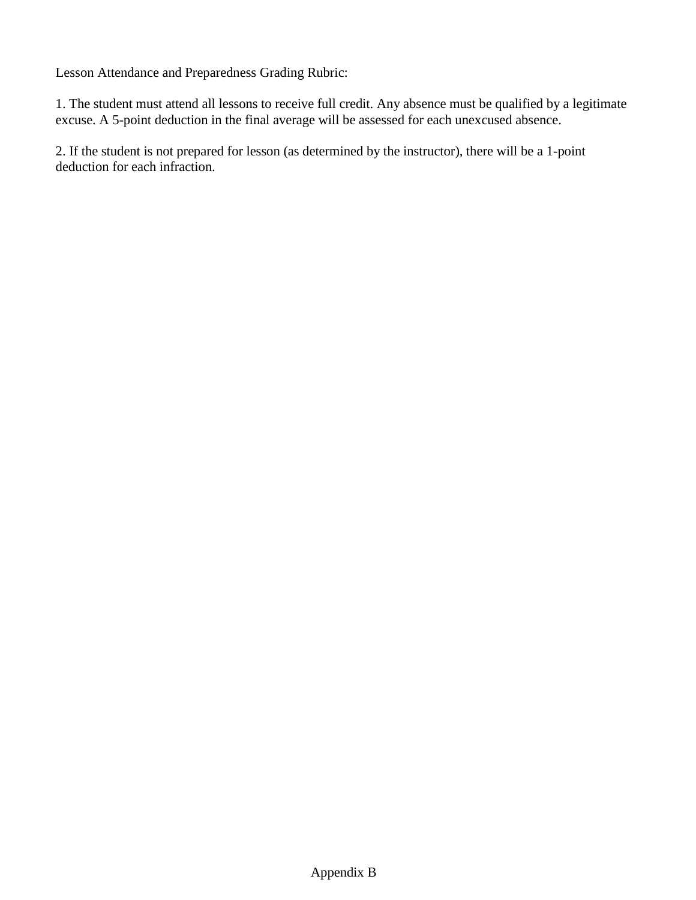Lesson Attendance and Preparedness Grading Rubric:

1. The student must attend all lessons to receive full credit. Any absence must be qualified by a legitimate excuse. A 5-point deduction in the final average will be assessed for each unexcused absence.

2. If the student is not prepared for lesson (as determined by the instructor), there will be a 1-point deduction for each infraction.